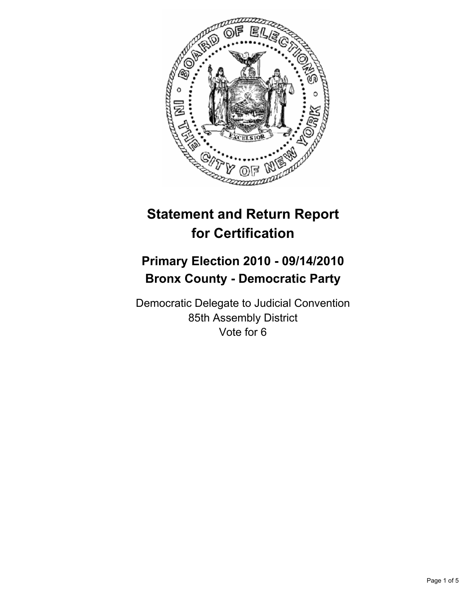

# **Statement and Return Report for Certification**

## **Primary Election 2010 - 09/14/2010 Bronx County - Democratic Party**

Democratic Delegate to Judicial Convention 85th Assembly District Vote for 6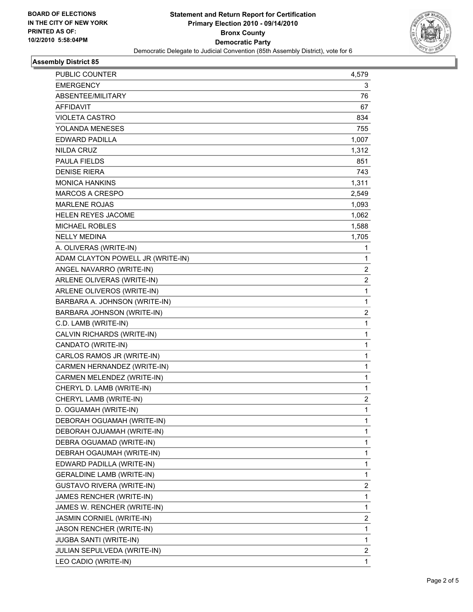

### **Assembly District 85**

| PUBLIC COUNTER                    | 4,579          |
|-----------------------------------|----------------|
| <b>EMERGENCY</b>                  | 3              |
| ABSENTEE/MILITARY                 | 76             |
| <b>AFFIDAVIT</b>                  | 67             |
| <b>VIOLETA CASTRO</b>             | 834            |
| YOLANDA MENESES                   | 755            |
| EDWARD PADILLA                    | 1,007          |
| NILDA CRUZ                        | 1,312          |
| <b>PAULA FIELDS</b>               | 851            |
| <b>DENISE RIERA</b>               | 743            |
| <b>MONICA HANKINS</b>             | 1,311          |
| <b>MARCOS A CRESPO</b>            | 2,549          |
| <b>MARLENE ROJAS</b>              | 1,093          |
| HELEN REYES JACOME                | 1,062          |
| <b>MICHAEL ROBLES</b>             | 1,588          |
| <b>NELLY MEDINA</b>               | 1,705          |
| A. OLIVERAS (WRITE-IN)            | 1              |
| ADAM CLAYTON POWELL JR (WRITE-IN) | 1              |
| ANGEL NAVARRO (WRITE-IN)          | $\overline{2}$ |
| ARLENE OLIVERAS (WRITE-IN)        | 2              |
| ARLENE OLIVEROS (WRITE-IN)        | $\mathbf{1}$   |
| BARBARA A. JOHNSON (WRITE-IN)     | 1              |
| BARBARA JOHNSON (WRITE-IN)        | 2              |
| C.D. LAMB (WRITE-IN)              | 1              |
| CALVIN RICHARDS (WRITE-IN)        | 1              |
| CANDATO (WRITE-IN)                | $\mathbf{1}$   |
| CARLOS RAMOS JR (WRITE-IN)        | 1              |
| CARMEN HERNANDEZ (WRITE-IN)       | 1              |
| CARMEN MELENDEZ (WRITE-IN)        | 1              |
| CHERYL D. LAMB (WRITE-IN)         | 1              |
| CHERYL LAMB (WRITE-IN)            | $\overline{2}$ |
| D. OGUAMAH (WRITE-IN)             | $\mathbf{1}$   |
| DEBORAH OGUAMAH (WRITE-IN)        | 1              |
| DEBORAH OJUAMAH (WRITE-IN)        | 1              |
| DEBRA OGUAMAD (WRITE-IN)          | 1              |
| DEBRAH OGAUMAH (WRITE-IN)         | 1              |
| EDWARD PADILLA (WRITE-IN)         | 1              |
| <b>GERALDINE LAMB (WRITE-IN)</b>  | 1              |
| <b>GUSTAVO RIVERA (WRITE-IN)</b>  | 2              |
| JAMES RENCHER (WRITE-IN)          | 1              |
| JAMES W. RENCHER (WRITE-IN)       | 1              |
| JASMIN CORNIEL (WRITE-IN)         | 2              |
| JASON RENCHER (WRITE-IN)          | 1              |
| JUGBA SANTI (WRITE-IN)            | 1              |
| JULIAN SEPULVEDA (WRITE-IN)       | 2              |
| LEO CADIO (WRITE-IN)              | 1              |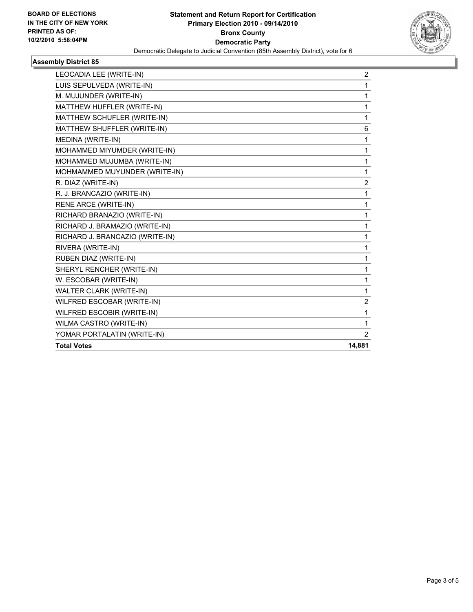

## **Assembly District 85**

| LEOCADIA LEE (WRITE-IN)         | 2              |
|---------------------------------|----------------|
| LUIS SEPULVEDA (WRITE-IN)       | 1              |
| M. MUJUNDER (WRITE-IN)          | 1              |
| MATTHEW HUFFLER (WRITE-IN)      | 1              |
| MATTHEW SCHUFLER (WRITE-IN)     | 1              |
| MATTHEW SHUFFLER (WRITE-IN)     | 6              |
| MEDINA (WRITE-IN)               | 1              |
| MOHAMMED MIYUMDER (WRITE-IN)    | 1              |
| MOHAMMED MUJUMBA (WRITE-IN)     | 1              |
| MOHMAMMED MUYUNDER (WRITE-IN)   | 1              |
| R. DIAZ (WRITE-IN)              | 2              |
| R. J. BRANCAZIO (WRITE-IN)      | 1              |
| <b>RENE ARCE (WRITE-IN)</b>     | 1              |
| RICHARD BRANAZIO (WRITE-IN)     | 1              |
| RICHARD J. BRAMAZIO (WRITE-IN)  | 1              |
| RICHARD J. BRANCAZIO (WRITE-IN) | 1              |
| RIVERA (WRITE-IN)               | 1              |
| RUBEN DIAZ (WRITE-IN)           | 1              |
| SHERYL RENCHER (WRITE-IN)       | 1              |
| W. ESCOBAR (WRITE-IN)           | $\mathbf 1$    |
| <b>WALTER CLARK (WRITE-IN)</b>  | $\mathbf{1}$   |
| WILFRED ESCOBAR (WRITE-IN)      | 2              |
| WILFRED ESCOBIR (WRITE-IN)      | 1              |
| WILMA CASTRO (WRITE-IN)         | 1              |
| YOMAR PORTALATIN (WRITE-IN)     | $\overline{2}$ |
| <b>Total Votes</b>              | 14,881         |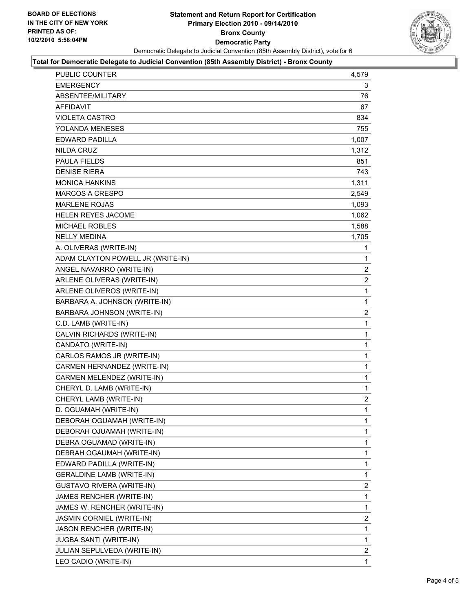

#### **Total for Democratic Delegate to Judicial Convention (85th Assembly District) - Bronx County**

| PUBLIC COUNTER                    | 4,579                 |
|-----------------------------------|-----------------------|
| EMERGENCY                         | 3                     |
| ABSENTEE/MILITARY                 | 76                    |
| AFFIDAVIT                         | 67                    |
| <b>VIOLETA CASTRO</b>             | 834                   |
| YOLANDA MENESES                   | 755                   |
| <b>EDWARD PADILLA</b>             | 1,007                 |
| NILDA CRUZ                        | 1,312                 |
| <b>PAULA FIELDS</b>               | 851                   |
| <b>DENISE RIERA</b>               | 743                   |
| <b>MONICA HANKINS</b>             | 1,311                 |
| <b>MARCOS A CRESPO</b>            | 2,549                 |
| <b>MARLENE ROJAS</b>              | 1,093                 |
| <b>HELEN REYES JACOME</b>         | 1,062                 |
| <b>MICHAEL ROBLES</b>             | 1,588                 |
| <b>NELLY MEDINA</b>               | 1,705                 |
| A. OLIVERAS (WRITE-IN)            | 1                     |
| ADAM CLAYTON POWELL JR (WRITE-IN) | 1                     |
| ANGEL NAVARRO (WRITE-IN)          | $\mathbf{2}^{\prime}$ |
| ARLENE OLIVERAS (WRITE-IN)        | $\overline{2}$        |
| ARLENE OLIVEROS (WRITE-IN)        | 1                     |
| BARBARA A. JOHNSON (WRITE-IN)     | 1                     |
| BARBARA JOHNSON (WRITE-IN)        | $\overline{2}$        |
| C.D. LAMB (WRITE-IN)              | 1                     |
| CALVIN RICHARDS (WRITE-IN)        | 1                     |
| CANDATO (WRITE-IN)                | 1                     |
| CARLOS RAMOS JR (WRITE-IN)        | 1                     |
| CARMEN HERNANDEZ (WRITE-IN)       | 1                     |
| CARMEN MELENDEZ (WRITE-IN)        | 1                     |
| CHERYL D. LAMB (WRITE-IN)         | 1                     |
| CHERYL LAMB (WRITE-IN)            | $\overline{2}$        |
| D. OGUAMAH (WRITE-IN)             | $\mathbf{1}$          |
| DEBORAH OGUAMAH (WRITE-IN)        | 1                     |
| DEBORAH OJUAMAH (WRITE-IN)        | 1                     |
| DEBRA OGUAMAD (WRITE-IN)          | 1                     |
| DEBRAH OGAUMAH (WRITE-IN)         | 1                     |
| EDWARD PADILLA (WRITE-IN)         | 1                     |
| <b>GERALDINE LAMB (WRITE-IN)</b>  | 1                     |
| GUSTAVO RIVERA (WRITE-IN)         | 2                     |
| JAMES RENCHER (WRITE-IN)          | 1                     |
| JAMES W. RENCHER (WRITE-IN)       | 1                     |
| <b>JASMIN CORNIEL (WRITE-IN)</b>  | 2                     |
| JASON RENCHER (WRITE-IN)          | 1                     |
| <b>JUGBA SANTI (WRITE-IN)</b>     | 1                     |
| JULIAN SEPULVEDA (WRITE-IN)       | 2                     |
| LEO CADIO (WRITE-IN)              | $\mathbf{1}$          |